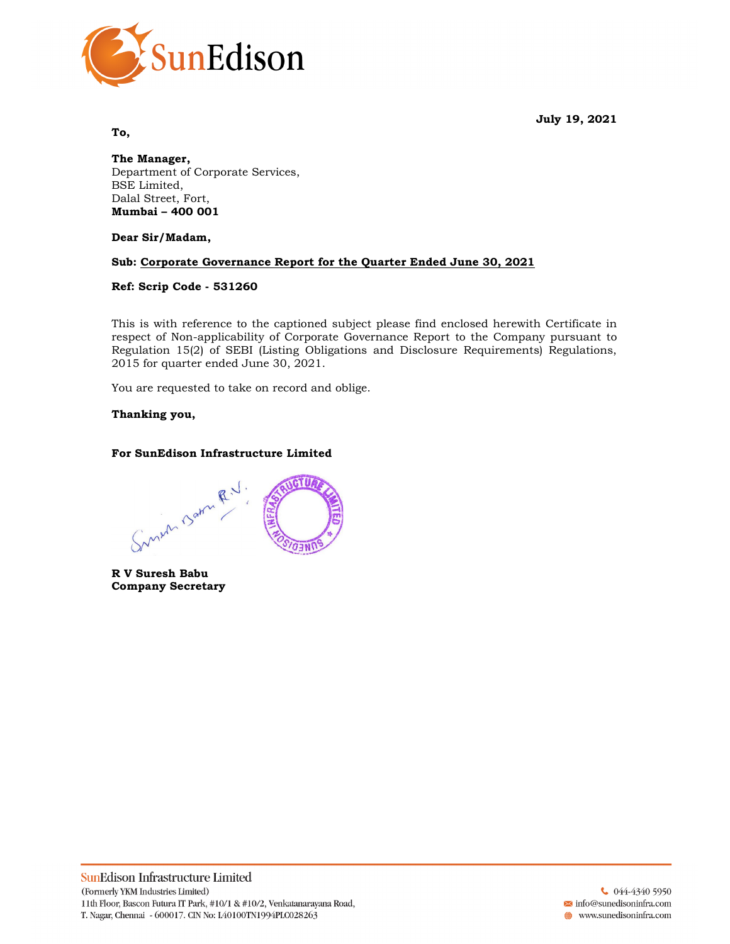July 19, 2021



To,

The Manager, Department of Corporate Services, BSE Limited, Dalal Street, Fort, Mumbai – 400 001

Dear Sir/Madam,

# Sub: Corporate Governance Report for the Quarter Ended June 30, 2021

### Ref: Scrip Code - 531260

This is with reference to the captioned subject please find enclosed herewith Certificate in respect of Non-applicability of Corporate Governance Report to the Company pursuant to Regulation 15(2) of SEBI (Listing Obligations and Disclosure Requirements) Regulations, 2015 for quarter ended June 30, 2021.

You are requested to take on record and oblige.

# Thanking you,

# For SunEdison Infrastructure Limited

Sunum Barn R.V. **CTUA** 

R V Suresh Babu Company Secretary